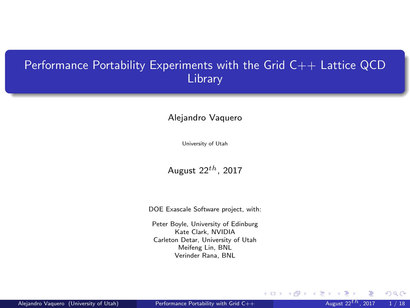### <span id="page-0-0"></span>Performance Portability Experiments with the Grid C++ Lattice QCD Library

#### Alejandro Vaquero

University of Utah

August  $22^{th}$ , 2017

DOE Exascale Software project, with:

Peter Boyle, University of Edinburg Kate Clark, NVIDIA Carleton Detar, University of Utah Meifeng Lin, BNL Verinder Rana, BNL

 $\Omega$ 

**K ロ ト K 何 ト K 目**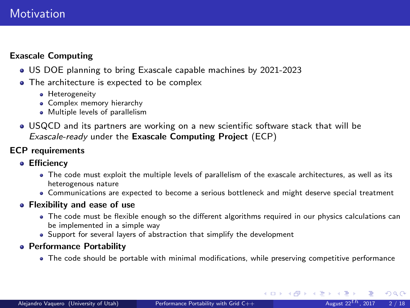### **Motivation**

### Exascale Computing

- US DOE planning to bring Exascale capable machines by 2021-2023
- The architecture is expected to be complex
	- **Heterogeneity**
	- **Complex memory hierarchy**
	- Multiple levels of parallelism
- USQCD and its partners are working on a new scientific software stack that will be Exascale-ready under the Exascale Computing Project (ECP)

#### ECP requirements

- **Efficiency** 
	- The code must exploit the multiple levels of parallelism of the exascale architectures, as well as its heterogenous nature
	- Communications are expected to become a serious bottleneck and might deserve special treatment
- **Flexibility and ease of use** 
	- The code must be flexible enough so the different algorithms required in our physics calculations can be implemented in a simple way
	- Support for several layers of abstraction that simplify the development
- Performance Portability
	- The code should be portable with minimal modifications, while preserving competitive performance

 $\Omega$ 

 $\left\{ \begin{array}{ccc} 1 & 0 & 0 \\ 0 & 1 & 0 \end{array} \right\}$  ,  $\left\{ \begin{array}{ccc} 0 & 0 & 0 \\ 0 & 0 & 0 \end{array} \right\}$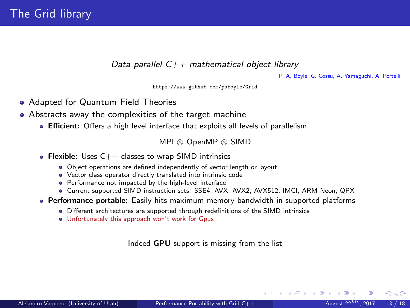Data parallel  $C++$  mathematical object library

P. A. Boyle, G. Cossu, A. Yamaguchi, A. Portelli

<https://www.github.com/paboyle/Grid>

- Adapted for Quantum Field Theories
- Abstracts away the complexities of the target machine
	- Efficient: Offers a high level interface that exploits all levels of parallelism

MPI ⊗ OpenMP ⊗ SIMD

- Flexible: Uses  $C++$  classes to wrap SIMD intrinsics
	- Object operations are defined independently of vector length or layout
	- Vector class operator directly translated into intrinsic code
	- Performance not impacted by the high-level interface
	- Current supported SIMD instruction sets: SSE4, AVX, AVX2, AVX512, IMCI, ARM Neon, QPX
- Performance portable: Easily hits maximum memory bandwidth in supported platforms
	- Different architectures are supported through redefinitions of the SIMD intrinsics
	- Unfortunately this approach won't work for Gpus

Indeed GPU support is missing from the list

 $\Omega$ 

メロト メ何 トメ ヨ トメ ヨ ト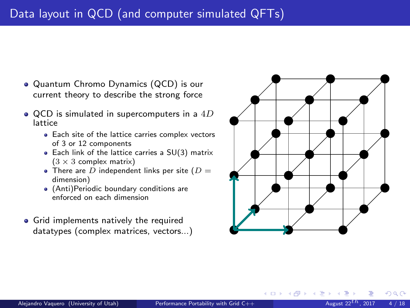- Quantum Chromo Dynamics (QCD) is our current theory to describe the strong force
- $\bullet$  QCD is simulated in supercomputers in a  $4D$ lattice
	- Each site of the lattice carries complex vectors of 3 or 12 components
	- Each link of the lattice carries a SU(3) matrix  $(3 \times 3$  complex matrix)
	- There are  $\overline{D}$  independent links per site ( $\overline{D}$  = dimension)
	- (Anti)Periodic boundary conditions are enforced on each dimension
- **•** Grid implements natively the required datatypes (complex matrices, vectors...)



**K ロ ⊁ K 倒 ≯ K 差 ≯ K**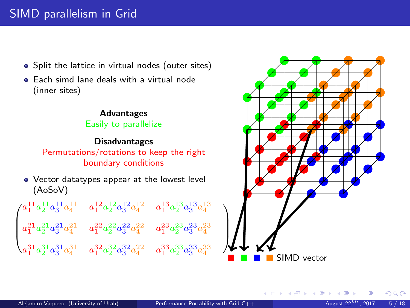## SIMD parallelism in Grid

- Split the lattice in virtual nodes (outer sites)
- **Each simd lane deals with a virtual node** (inner sites)

#### Advantages Easily to parallelize

#### Disadvantages

Permutations/rotations to keep the right boundary conditions

Vector datatypes appear at the lowest level (AoSoV)

| $\int a_1^{11} a_2^{11} a_3^{11} a_4^{11}$                                                             | $a_1^{12}a_2^{12}a_3^{12}a_4^{12}$   | $a_1^{13}a_2^{13}a_3^{13}a_4^{13}$    |
|--------------------------------------------------------------------------------------------------------|--------------------------------------|---------------------------------------|
| $\begin{pmatrix} a_1^{21}a_2^{21}a_3^{21}a_4^{21}\\ \\ a_1^{31}a_2^{31}a_3^{31}a_4^{31} \end{pmatrix}$ | $a_1^{22}a_2^{22}a_3^{22}a_4^{22}\,$ | $a_1^{23} a_2^{23} a_3^{23} a_4^{23}$ |
|                                                                                                        | $a_1^{32}a_2^{32}a_3^{32}a_4^{22}\\$ | $a_1^{33}a_2^{33}a_3^{33}a_4^{33}$    |



**K ロ ト K 御 ト K ミ ト** 

 $QQ$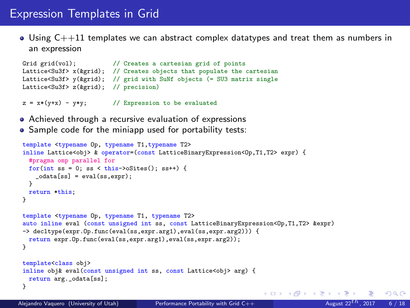### Expression Templates in Grid

 $\bullet$  Using  $C++11$  templates we can abstract complex datatypes and treat them as numbers in an expression

```
Grid grid(vol); \frac{1}{2} Creates a cartesian grid of points
Lattice<Su3f> x(&grid); // Creates objects that populate the cartesian
Lattice<Su3f> y(&grid); // grid with SuNf objects (= SU3 matrix single
Lattice<Su3f> z(&grid); // precision)
```
 $z = x*(y+x) - y*y;$  // Expression to be evaluated

- Achieved through a recursive evaluation of expressions
- Sample code for the miniapp used for portability tests:

```
template <typename Op, typename T1,typename T2>
inline Lattice<obj> & operator=(const LatticeBinaryExpression<Op,T1,T2> expr) {
  #pragma omp parallel for
  for(int ss = 0; ss < this->oSites(); ss++) {
    _{\text{odata[ss]} = \text{eval(ss,expr)};
  }
  return *this;
}
template <typename Op, typename T1, typename T2>
auto inline eval (const unsigned int ss, const LatticeBinaryExpression<Op,T1,T2> &expr)
-> decltype(expr.Op.func(eval(ss,expr.arg1),eval(ss,expr.arg2))) {
  return expr.Op.func(eval(ss,expr.arg1),eval(ss,expr.arg2));
}
template<class obj>
inline obj& eval(const unsigned int ss, const Lattice<obj> arg) {
  return arg._odata[ss];
}
                                                                                  \left\{ \begin{array}{ccc} 1 & 0 & 0 \\ 0 & 1 & 0 \end{array} \right\} , \left\{ \begin{array}{ccc} 0 & 0 & 0 \\ 0 & 0 & 0 \end{array} \right\}
```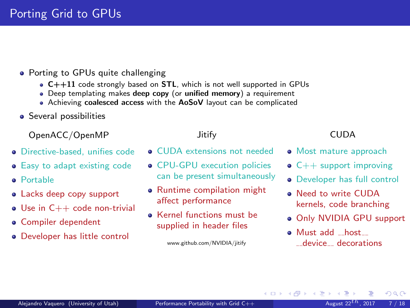- Porting to GPUs quite challenging
	- C++11 code strongly based on STL, which is not well supported in GPUs
	- Deep templating makes deep copy (or unified memory) a requirement
	- Achieving coalesced access with the AoSoV layout can be complicated
- **•** Several possibilities

OpenACC/OpenMP

- **•** Directive-based, unifies code
- **•** Easy to adapt existing code
- **a** Portable
- Lacks deep copy support
- $\bullet$  Use in  $C++$  code non-trivial
- **Compiler dependent**
- Developer has little control

Jitify

- **CUDA** extensions not needed
- **CPU-GPU** execution policies can be present simultaneously
- **Runtime compilation might** affect performance
- **Kernel functions must be** supplied in header files

www.github.com/NVIDIA/jitify

### CUDA

- Most mature approach
- $\bullet$  C++ support improving
- Developer has full control
- **a** Need to write CUDA kernels, code branching
- Only NVIDIA GPU support
- Must add host \_\_device\_\_ decorations

メロメ メ御 メメ きょくきょ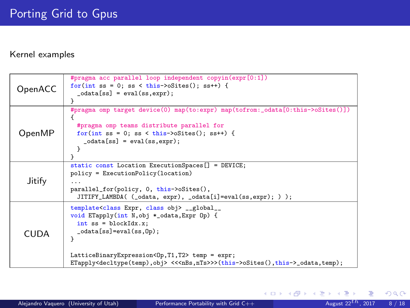#### Kernel examples

| #pragma acc parallel loop independent copyin(expr[0:1])<br>for(int ss = 0; ss < this->oSites(); ss++) {<br>OpenACC<br>$-cdata[ss] = eval(ss,expr);$<br>#pragma omp target device(0) map(to:expr) map(tofrom:_odata[0:this->oSites()])<br>#pragma omp teams distribute parallel for<br>OpenMP<br>$for(int ss = 0; ss < this>\gt;oSites(); ss++)$ {<br>$-cdata[ss] = eval(ss,expr);$<br>static const Location ExecutionSpaces[] = DEVICE;<br>policy = ExecutionPolicy(location)<br>Jitify<br>parallel_for(policy, 0, this->oSites(),<br>JITIFY_LAMBDA( (_odata, expr), _odata[i]=eval(ss,expr); ) );<br>template <class class="" expr,="" obj=""> __global__<br/>void ETapply(int N, obj *_odata, Expr Op) {<br/><math>int</math> ss = blockIdx.x;<br/><math>_{\text{odata[ss]}=\text{eval}(ss,0p)}</math>;<br/><b>CUDA</b></class> |  |   |
|-----------------------------------------------------------------------------------------------------------------------------------------------------------------------------------------------------------------------------------------------------------------------------------------------------------------------------------------------------------------------------------------------------------------------------------------------------------------------------------------------------------------------------------------------------------------------------------------------------------------------------------------------------------------------------------------------------------------------------------------------------------------------------------------------------------------------------------|--|---|
|                                                                                                                                                                                                                                                                                                                                                                                                                                                                                                                                                                                                                                                                                                                                                                                                                                   |  |   |
|                                                                                                                                                                                                                                                                                                                                                                                                                                                                                                                                                                                                                                                                                                                                                                                                                                   |  |   |
|                                                                                                                                                                                                                                                                                                                                                                                                                                                                                                                                                                                                                                                                                                                                                                                                                                   |  |   |
|                                                                                                                                                                                                                                                                                                                                                                                                                                                                                                                                                                                                                                                                                                                                                                                                                                   |  |   |
|                                                                                                                                                                                                                                                                                                                                                                                                                                                                                                                                                                                                                                                                                                                                                                                                                                   |  |   |
|                                                                                                                                                                                                                                                                                                                                                                                                                                                                                                                                                                                                                                                                                                                                                                                                                                   |  |   |
|                                                                                                                                                                                                                                                                                                                                                                                                                                                                                                                                                                                                                                                                                                                                                                                                                                   |  |   |
|                                                                                                                                                                                                                                                                                                                                                                                                                                                                                                                                                                                                                                                                                                                                                                                                                                   |  |   |
|                                                                                                                                                                                                                                                                                                                                                                                                                                                                                                                                                                                                                                                                                                                                                                                                                                   |  |   |
|                                                                                                                                                                                                                                                                                                                                                                                                                                                                                                                                                                                                                                                                                                                                                                                                                                   |  |   |
|                                                                                                                                                                                                                                                                                                                                                                                                                                                                                                                                                                                                                                                                                                                                                                                                                                   |  |   |
|                                                                                                                                                                                                                                                                                                                                                                                                                                                                                                                                                                                                                                                                                                                                                                                                                                   |  |   |
|                                                                                                                                                                                                                                                                                                                                                                                                                                                                                                                                                                                                                                                                                                                                                                                                                                   |  |   |
|                                                                                                                                                                                                                                                                                                                                                                                                                                                                                                                                                                                                                                                                                                                                                                                                                                   |  |   |
|                                                                                                                                                                                                                                                                                                                                                                                                                                                                                                                                                                                                                                                                                                                                                                                                                                   |  |   |
|                                                                                                                                                                                                                                                                                                                                                                                                                                                                                                                                                                                                                                                                                                                                                                                                                                   |  |   |
|                                                                                                                                                                                                                                                                                                                                                                                                                                                                                                                                                                                                                                                                                                                                                                                                                                   |  |   |
|                                                                                                                                                                                                                                                                                                                                                                                                                                                                                                                                                                                                                                                                                                                                                                                                                                   |  |   |
|                                                                                                                                                                                                                                                                                                                                                                                                                                                                                                                                                                                                                                                                                                                                                                                                                                   |  |   |
|                                                                                                                                                                                                                                                                                                                                                                                                                                                                                                                                                                                                                                                                                                                                                                                                                                   |  |   |
|                                                                                                                                                                                                                                                                                                                                                                                                                                                                                                                                                                                                                                                                                                                                                                                                                                   |  | ł |
|                                                                                                                                                                                                                                                                                                                                                                                                                                                                                                                                                                                                                                                                                                                                                                                                                                   |  |   |
| LatticeBinaryExpression <op, t1,="" t2=""> temp = expr;</op,>                                                                                                                                                                                                                                                                                                                                                                                                                                                                                                                                                                                                                                                                                                                                                                     |  |   |
| ETapply <decltype(temp),obj> &lt;&lt;<nbs,nts>&gt;&gt;(this-&gt;oSites(),this-&gt;_odata,temp);</nbs,nts></decltype(temp),obj>                                                                                                                                                                                                                                                                                                                                                                                                                                                                                                                                                                                                                                                                                                    |  |   |

 $299$ 

メロトメ 御 トメ 君 トメ 君 ト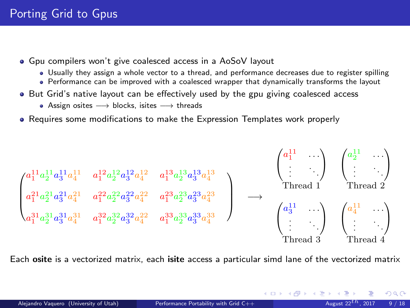- Gpu compilers won't give coalesced access in a AoSoV layout
	- Usually they assign a whole vector to a thread, and performance decreases due to register spilling
	- Performance can be improved with a coalesced wrapper that dynamically transforms the layout
- But Grid's native layout can be effectively used by the gpu giving coalesced access
	- Assign osites −→ blocks, isites −→ threads
- Requires some modifications to make the Expression Templates work properly

$$
\begin{pmatrix} a_1^{11}a_2^{11}a_3^{11}a_4^{11} & a_1^{12}a_2^{12}a_3^{12}a_4^{12} & a_1^{13}a_2^{13}a_3^{13}a_4^{13} \\ a_1^{21}a_2^{21}a_3^{21}a_4^{21} & a_1^{22}a_2^{22}a_3^{22}a_4^{22} & a_1^{23}a_2^{23}a_3^{23}a_4^{23} \\ a_1^{31}a_2^{31}a_3^{31}a_4^{31} & a_1^{32}a_2^{32}a_3^{32}a_4^{22} & a_1^{33}a_2^{33}a_3^{33}a_4^{33} \end{pmatrix} \longrightarrow \begin{pmatrix} a_1^{11} & \cdots \\ \vdots & \ddots \\ \text{Thread 1} & \text{Thread 2} \\ \vdots & \ddots & \ddots \\ \text{Thread 2} & \text{Thread 3} \end{pmatrix}
$$

Each osite is a vectorized matrix, each isite access a particular simd lane of the vectorized matrix

 $\Omega$ 

メロメ メ御 メメ きょくきょ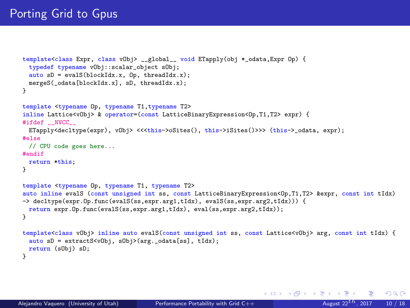```
template<class Expr, class vObj> __global__ void ETapply(obj *_odata,Expr Op) {
 typedef typename vObj::scalar_object sObj;
 auto sD = evalS(blockIdx.x, Op, threadIdx.x);mergeS( odata[blockIdx.x], sD, threadIdx.x);
}
template <typename Op, typename T1,typename T2>
inline Lattice<vObj> & operator=(const LatticeBinaryExpression<Op.T1.T2> expr) {
#ifdef __NVCC__
 ETapply<decltype(expr), vObj> <<<this->oSites(), this->iSites()>>> (this-> odata, expr);
#else
 // CPU code goes here...
#endif
 return *this;
}
template <typename Op, typename T1, typename T2>
auto inline evalS (const unsigned int ss, const LatticeBinaryExpression<Op.T1,T2> &expr, const int tIdx)
-> decltype(expr.Op.func(evalS(ss,expr.arg1,tIdx), evalS(ss,expr.arg2,tIdx))) {
 return expr.Op.func(evalS(ss,expr.arg1,tIdx), eval(ss,expr.arg2,tIdx));
}
template<class vObj> inline auto evalS(const unsigned int ss, const Lattice<vObj> arg, const int tIdx) {
 auto sD = extractS<vObj, sObj>(arg. odata[ss], tIdx);
 return (sObj) sD;
}
```
 $\Omega$ 

メロト メ御 トメ きょ メきょ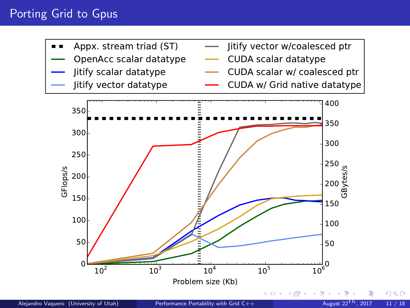### Porting Grid to Gpus

- Appx. stream triad (ST)
- OpenAcc scalar datatype
- Jitify scalar datatype
- Jitify vector datatype
- Jitify vector w/coalesced ptr
- CUDA scalar datatype
- CUDA scalar w/ coalesced ptr
- CUDA w/ Grid native datatype

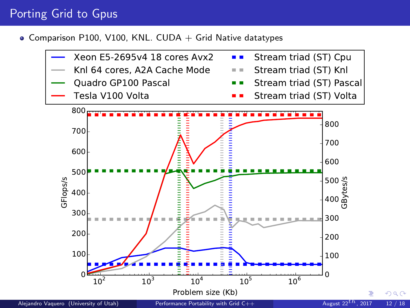### Porting Grid to Gpus

 $\bullet$  Comparison P100, V100, KNL. CUDA + Grid Native datatypes

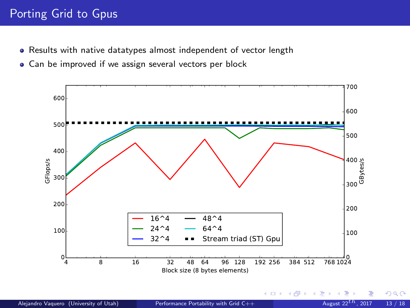### Porting Grid to Gpus

- Results with native datatypes almost independent of vector length
- Can be improved if we assign several vectors per block



 $299$ 

**K ロ ▶ イ 伊 ▶ イ ヨ**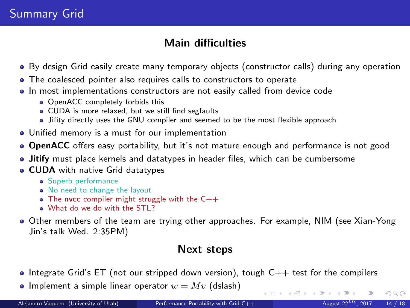# Summary Grid

### Main difficulties

- By design Grid easily create many temporary objects (constructor calls) during any operation
- The coalesced pointer also requires calls to constructors to operate
- In most implementations constructors are not easily called from device code
	- OpenACC completely forbids this
	- CUDA is more relaxed, but we still find segfaults
	- Jifity directly uses the GNU compiler and seemed to be the most flexible approach
- Unified memory is a must for our implementation
- **OpenACC** offers easy portability, but it's not mature enough and performance is not good
- Jitify must place kernels and datatypes in header files, which can be cumbersome
- **CUDA** with native Grid datatypes
	- **•** Superb performance
	- No need to change the layout
	- The nvcc compiler might struggle with the  $C++$
	- . What do we do with the STL?
- Other members of the team are trying other approaches. For example, NIM (see Xian-Yong Jin's talk Wed. 2:35PM)

### Next steps

- $\bullet$  Integrate Grid's ET (not our stripped down version), tough  $C++$  test for the compilers
- Implement a simple linear operator  $w = Mv$  (dslash)

 $\Omega$ 

 $\left\{ \begin{array}{ccc} 1 & 0 & 0 \\ 0 & 1 & 0 \end{array} \right\}$  ,  $\left\{ \begin{array}{ccc} 0 & 0 & 0 \\ 0 & 0 & 0 \end{array} \right\}$  ,  $\left\{ \begin{array}{ccc} 0 & 0 & 0 \\ 0 & 0 & 0 \end{array} \right\}$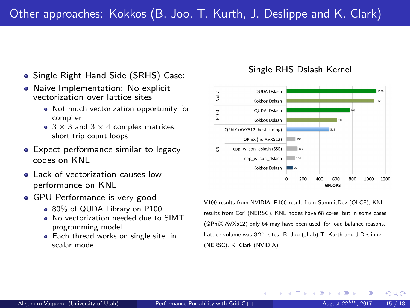- Single Right Hand Side (SRHS) Case:
- Naive Implementation: No explicit vectorization over lattice sites
	- Not much vectorization opportunity for compiler
	- $\bullet$  3  $\times$  3 and 3  $\times$  4 complex matrices. short trip count loops
- **Expect performance similar to legacy** codes on KNL
- **a** Lack of vectorization causes low performance on KNL
- GPU Performance is very good
	- 80% of QUDA Library on P100
	- No vectorization needed due to SIMT programming model
	- **Each thread works on single site, in** scalar mode

#### Single RHS Dslash Kernel



V100 results from NVIDIA, P100 result from SummitDev (OLCF), KNL results from Cori (NERSC). KNL nodes have 68 cores, but in some cases (QPhiX AVX512) only 64 may have been used, for load balance reasons. Lattice volume was  $32^4$  sites: B. Joo (JLab) T. Kurth and J.Deslippe (NERSC), K. Clark (NVIDIA)

**←ロ ▶ ← イ 同 →**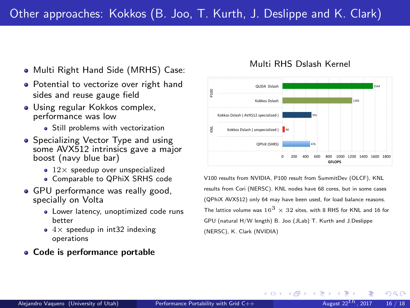- Multi Right Hand Side (MRHS) Case:
- Potential to vectorize over right hand sides and reuse gauge field
- Using regular Kokkos complex, performance was low
	- Still problems with vectorization
- **•** Specializing Vector Type and using some AVX512 intrinsics gave a major boost (navy blue bar)
	- $\bullet$  12 $\times$  speedup over unspecialized
	- Comparable to QPhiX SRHS code
- **GPU** performance was really good. specially on Volta
	- Lower latency, unoptimized code runs better
	- $\bullet$  4 $\times$  speedup in int32 indexing operations

#### Code is performance portable

#### Multi RHS Dslash Kernel



V100 results from NVIDIA, P100 result from SummitDev (OLCF), KNL results from Cori (NERSC). KNL nodes have 68 cores, but in some cases (QPhiX AVX512) only 64 may have been used, for load balance reasons. The lattice volume was  $16<sup>3</sup> \times 32$  sites, with 8 RHS for KNL and 16 for GPU (natural H/W length) B. Joo (JLab) T. Kurth and J.Deslippe (NERSC), K. Clark (NVIDIA)

**←ロ ▶ ← イ 同 →**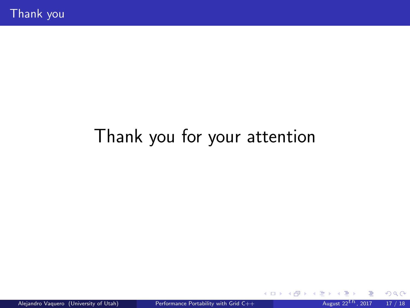# Thank you for your attention

 $299$ 

**K ロ ト K 御 ト K 走 ト**